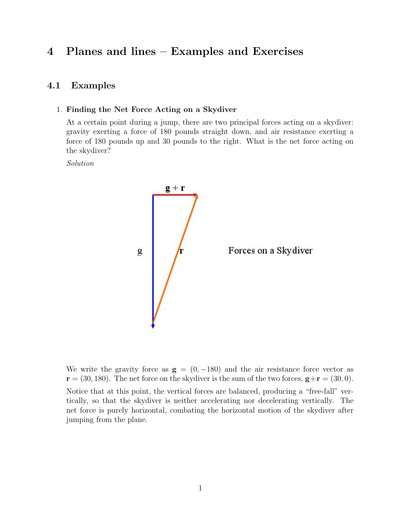# 4 Planes and lines – Examples and Exercises

## 4.1 Examples

#### 1. Finding the Net Force Acting on a Skydiver

At a certain point during a jump, there are two principal forces acting on a skydiver: gravity exerting a force of 180 pounds straight down, and air resistance exerting a force of 180 pounds up and 30 pounds to the right. What is the net force acting on the skydiver?

Solution



We write the gravity force as  $g = (0, -180)$  and the air resistance force vector as  $\mathbf{r} = (30, 180)$ . The net force on the skydiver is the sum of the two forces,  $\mathbf{g} + \mathbf{r} = (30, 0)$ . Notice that at this point, the vertical forces are balanced, producing a "free-fall" vertically, so that the skydiver is neither accelerating nor decelerating vertically. The net force is purely horizontal, combating the horizontal motion of the skydiver after jumping from the plane.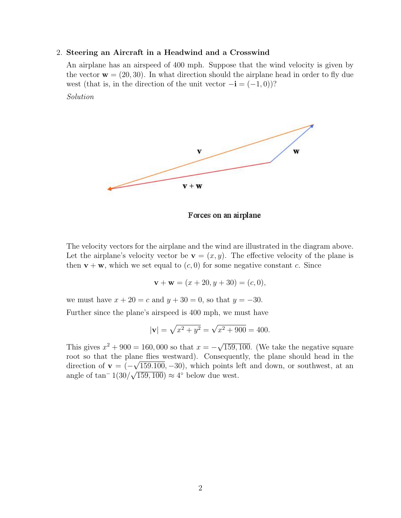#### 2. Steering an Aircraft in a Headwind and a Crosswind

An airplane has an airspeed of 400 mph. Suppose that the wind velocity is given by the vector  $\mathbf{w} = (20, 30)$ . In what direction should the airplane head in order to fly due west (that is, in the direction of the unit vector  $-i = (-1, 0)$ )?

Solution



Forces on an airplane

The velocity vectors for the airplane and the wind are illustrated in the diagram above. Let the airplane's velocity vector be  $\mathbf{v} = (x, y)$ . The effective velocity of the plane is then  $\mathbf{v} + \mathbf{w}$ , which we set equal to  $(c, 0)$  for some negative constant c. Since

$$
\mathbf{v} + \mathbf{w} = (x + 20, y + 30) = (c, 0),
$$

we must have  $x + 20 = c$  and  $y + 30 = 0$ , so that  $y = -30$ .

Further since the plane's airspeed is 400 mph, we must have

$$
|\mathbf{v}| = \sqrt{x^2 + y^2} = \sqrt{x^2 + 900} = 400.
$$

This gives  $x^2 + 900 = 160,000$  so that  $x = -\sqrt{ }$ 159, 100. (We take the negative square root so that the plane flies westward). Consequently, the plane should head in the direction of  $\mathbf{v} = (-\sqrt{159.100}, -30)$ , which points left and down, or southwest, at an angle of  $\tan^{-} 1(30/\sqrt{159,100}) \approx 4^{\circ}$  below due west.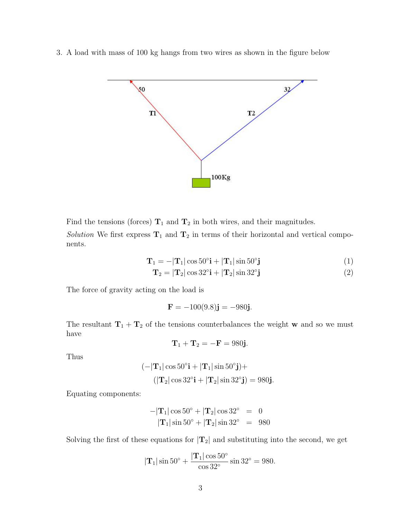3. A load with mass of 100 kg hangs from two wires as shown in the figure below



Find the tensions (forces)  $T_1$  and  $T_2$  in both wires, and their magnitudes.

Solution We first express  $T_1$  and  $T_2$  in terms of their horizontal and vertical components.

$$
\mathbf{T}_1 = -|\mathbf{T}_1|\cos 50^\circ \mathbf{i} + |\mathbf{T}_1|\sin 50^\circ \mathbf{j} \tag{1}
$$

$$
\mathbf{T}_2 = |\mathbf{T}_2| \cos 32^\circ \mathbf{i} + |\mathbf{T}_2| \sin 32^\circ \mathbf{j}
$$
 (2)

The force of gravity acting on the load is

$$
F = -100(9.8)j = -980j.
$$

The resultant  $T_1 + T_2$  of the tensions counterbalances the weight w and so we must have

$$
\mathbf{T}_1 + \mathbf{T}_2 = -\mathbf{F} = 980\mathbf{j}.
$$

Thus

$$
(-|\mathbf{T}_1|\cos 50^\circ \mathbf{i} + |\mathbf{T}_1|\sin 50^\circ \mathbf{j}) +
$$

$$
(|\mathbf{T}_2|\cos 32^\circ \mathbf{i} + |\mathbf{T}_2|\sin 32^\circ \mathbf{j}) = 980\mathbf{j}.
$$

Equating components:

$$
-|\mathbf{T}_1|\cos 50^\circ + |\mathbf{T}_2|\cos 32^\circ = 0
$$
  

$$
|\mathbf{T}_1|\sin 50^\circ + |\mathbf{T}_2|\sin 32^\circ = 980
$$

Solving the first of these equations for  $|\mathbf{T}_2|$  and substituting into the second, we get

$$
|\mathbf{T}_1| \sin 50^\circ + \frac{|\mathbf{T}_1| \cos 50^\circ}{\cos 32^\circ} \sin 32^\circ = 980.
$$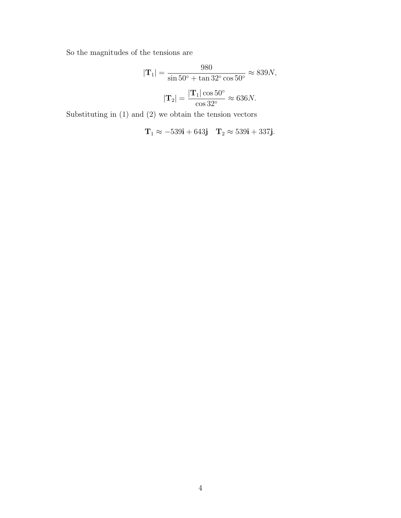So the magnitudes of the tensions are

$$
|\mathbf{T}_1| = \frac{980}{\sin 50^\circ + \tan 32^\circ \cos 50^\circ} \approx 839N,
$$
  

$$
|\mathbf{T}_2| = \frac{|\mathbf{T}_1| \cos 50^\circ}{\cos 32^\circ} \approx 636N.
$$

Substituting in (1) and (2) we obtain the tension vectors

$$
\mathbf{T}_1 \approx -539\mathbf{i} + 643\mathbf{j} \quad \mathbf{T}_2 \approx 539\mathbf{i} + 337\mathbf{j}.
$$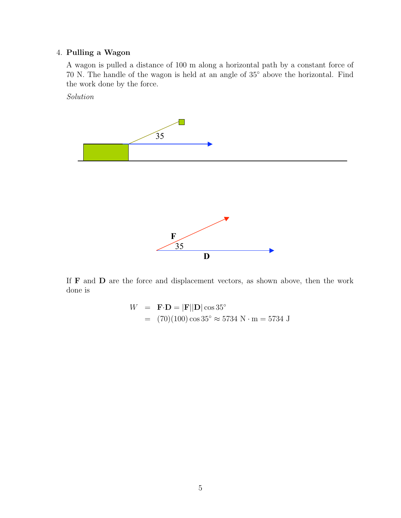## 4. Pulling a Wagon

A wagon is pulled a distance of 100 m along a horizontal path by a constant force of 70 N. The handle of the wagon is held at an angle of 35◦ above the horizontal. Find the work done by the force.

Solution



If F and D are the force and displacement vectors, as shown above, then the work done is

$$
W = \mathbf{F} \cdot \mathbf{D} = |\mathbf{F}||\mathbf{D}| \cos 35^{\circ}
$$
  
= (70)(100) cos 35° ≈ 5734 N · m = 5734 J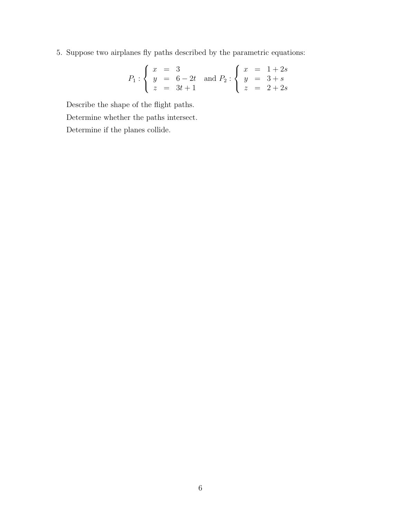5. Suppose two airplanes fly paths described by the parametric equations:

$$
P_1: \begin{cases} x = 3 \\ y = 6 - 2t \\ z = 3t + 1 \end{cases} \text{ and } P_2: \begin{cases} x = 1 + 2s \\ y = 3 + s \\ z = 2 + 2s \end{cases}
$$

Describe the shape of the flight paths. Determine whether the paths intersect. Determine if the planes collide.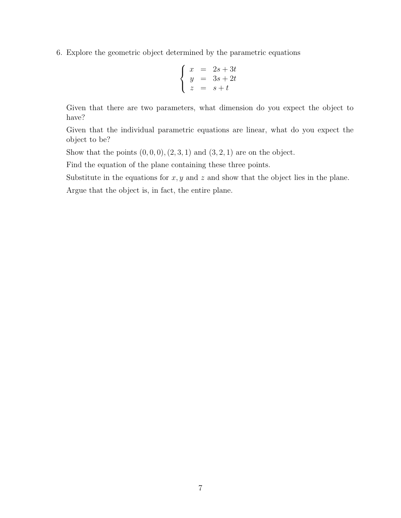6. Explore the geometric object determined by the parametric equations

$$
\begin{cases}\nx = 2s + 3t \\
y = 3s + 2t \\
z = s + t\n\end{cases}
$$

Given that there are two parameters, what dimension do you expect the object to have?

Given that the individual parametric equations are linear, what do you expect the object to be?

Show that the points  $(0, 0, 0), (2, 3, 1)$  and  $(3, 2, 1)$  are on the object.

Find the equation of the plane containing these three points.

Substitute in the equations for  $x, y$  and  $z$  and show that the object lies in the plane.

Argue that the object is, in fact, the entire plane.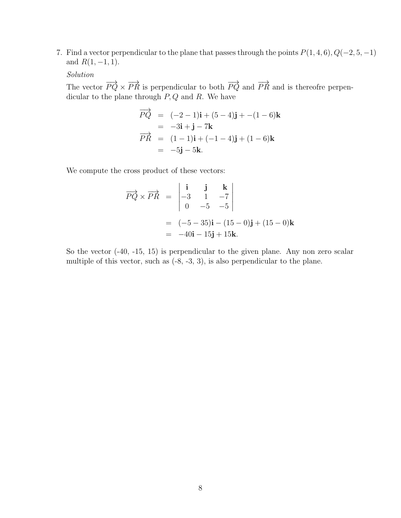7. Find a vector perpendicular to the plane that passes through the points  $P(1, 4, 6), Q(-2, 5, -1)$ and  $R(1, -1, 1)$ .

Solution

The vector  $\overrightarrow{PQ} \times \overrightarrow{PR}$  is perpendicular to both  $\overrightarrow{PQ}$  and  $\overrightarrow{PR}$  and is thereofre perpendicular to the plane through  $P, Q$  and R. We have

$$
\overrightarrow{PQ} = (-2 - 1)\mathbf{i} + (5 - 4)\mathbf{j} + -(1 - 6)\mathbf{k} \n= -3\mathbf{i} + \mathbf{j} - 7\mathbf{k} \n\overrightarrow{PR} = (1 - 1)\mathbf{i} + (-1 - 4)\mathbf{j} + (1 - 6)\mathbf{k} \n= -5\mathbf{j} - 5\mathbf{k}.
$$

We compute the cross product of these vectors:

$$
\overrightarrow{PQ} \times \overrightarrow{PR} = \begin{vmatrix} \mathbf{i} & \mathbf{j} & \mathbf{k} \\ -3 & 1 & -7 \\ 0 & -5 & -5 \end{vmatrix}
$$

$$
= (-5 - 35)\mathbf{i} - (15 - 0)\mathbf{j} + (15 - 0)\mathbf{k}
$$

$$
= -40\mathbf{i} - 15\mathbf{j} + 15\mathbf{k}.
$$

So the vector (-40, -15, 15) is perpendicular to the given plane. Any non zero scalar multiple of this vector, such as  $(-8, -3, 3)$ , is also perpendicular to the plane.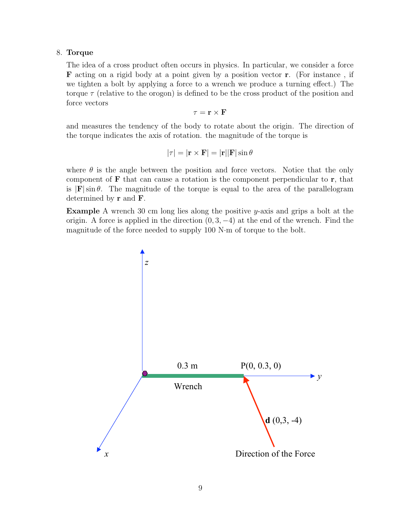#### 8. Torque

The idea of a cross product often occurs in physics. In particular, we consider a force F acting on a rigid body at a point given by a position vector r. (For instance , if we tighten a bolt by applying a force to a wrench we produce a turning effect.) The torque  $\tau$  (relative to the orogon) is defined to be the cross product of the position and force vectors

 $\tau = \mathbf{r} \times \mathbf{F}$ 

and measures the tendency of the body to rotate about the origin. The direction of the torque indicates the axis of rotation. the magnitude of the torque is

$$
|\tau| = |\mathbf{r} \times \mathbf{F}| = |\mathbf{r}||\mathbf{F}| \sin \theta
$$

where  $\theta$  is the angle between the position and force vectors. Notice that the only component of  $\bf{F}$  that can cause a rotation is the component perpendicular to  $\bf{r}$ , that is  $|F| \sin \theta$ . The magnitude of the torque is equal to the area of the parallelogram determined by r and F.

Example A wrench 30 cm long lies along the positive y-axis and grips a bolt at the origin. A force is applied in the direction  $(0, 3, -4)$  at the end of the wrench. Find the magnitude of the force needed to supply 100 N·m of torque to the bolt.

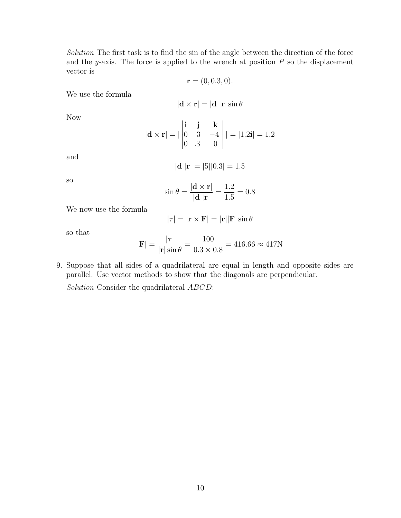Solution The first task is to find the sin of the angle between the direction of the force and the y-axis. The force is applied to the wrench at position  $P$  so the displacement vector is

$$
\mathbf{r} = (0, 0.3, 0).
$$

We use the formula

$$
|\mathbf{d} \times \mathbf{r}| = |\mathbf{d}| |\mathbf{r}| \sin \theta
$$

Now

$$
|\mathbf{d} \times \mathbf{r}| = |\begin{vmatrix} \mathbf{i} & \mathbf{j} & \mathbf{k} \\ 0 & 3 & -4 \\ 0 & 0 & 0 \end{vmatrix}| = |1.2\mathbf{i}| = 1.2
$$

and

$$
|\mathbf{d}||\mathbf{r}| = |5||0.3| = 1.5
$$

so

$$
\sin \theta = \frac{|\mathbf{d} \times \mathbf{r}|}{|\mathbf{d}||\mathbf{r}|} = \frac{1.2}{1.5} = 0.8
$$

We now use the formula

$$
|\tau| = |\mathbf{r} \times \mathbf{F}| = |\mathbf{r}||\mathbf{F}| \sin \theta
$$

so that

$$
|\mathbf{F}| = \frac{|\tau|}{|\mathbf{r}| \sin \theta} = \frac{100}{0.3 \times 0.8} = 416.66 \approx 417N
$$

9. Suppose that all sides of a quadrilateral are equal in length and opposite sides are parallel. Use vector methods to show that the diagonals are perpendicular.

Solution Consider the quadrilateral  $ABCD$ :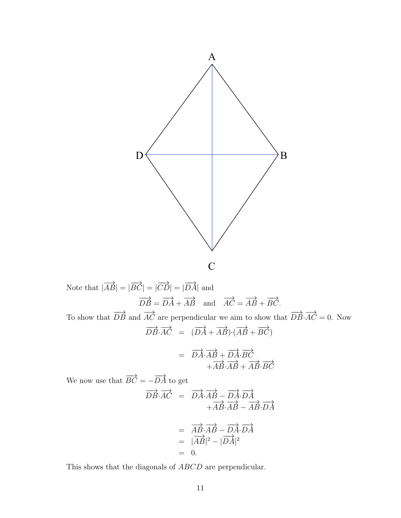

Note that 
$$
|\overrightarrow{AB}| = |\overrightarrow{BC}| = |\overrightarrow{CD}| = |\overrightarrow{DA}|
$$
 and  
\n $\overrightarrow{DB} = \overrightarrow{DA} + \overrightarrow{AB}$  and  $\overrightarrow{AC} = \overrightarrow{AB} + \overrightarrow{BC}$ .  
\nTo show that  $\overrightarrow{DB}$  and  $\overrightarrow{AC}$  are perpendicular we aim to show that  $\overrightarrow{DB} \cdot \overrightarrow{AC} = 0$ . Now  
\n
$$
\overrightarrow{DB} \cdot \overrightarrow{AC} = (\overrightarrow{DA} + \overrightarrow{AB}) \cdot (\overrightarrow{AB} + \overrightarrow{BC})
$$
\n
$$
= \overrightarrow{DA} \cdot \overrightarrow{AB} + \overrightarrow{DA} \cdot \overrightarrow{BC}
$$
\nWe now use that  $\overrightarrow{BC} = -\overrightarrow{DA}$  to get  
\n
$$
\overrightarrow{DB} \cdot \overrightarrow{AC} = \overrightarrow{DA} \cdot \overrightarrow{AB} - \overrightarrow{DA} \cdot \overrightarrow{DA}
$$
\n
$$
+ \overrightarrow{AB} \cdot \overrightarrow{AB} - \overrightarrow{AB} \cdot \overrightarrow{DA}
$$

$$
= \overrightarrow{AB} \cdot \overrightarrow{AB} - \overrightarrow{DA} \cdot \overrightarrow{DA}
$$
  
=  $|\overrightarrow{AB}|^2 - |\overrightarrow{DA}|^2$   
= 0.

This shows that the diagonals of  $ABCD$  are perpendicular.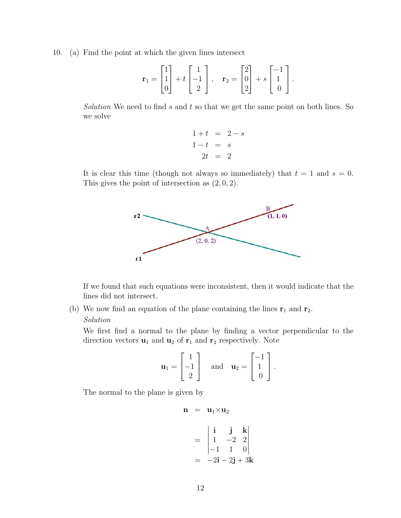10. (a) Find the point at which the given lines intersect

$$
\mathbf{r}_1 = \begin{bmatrix} 1 \\ 1 \\ 0 \end{bmatrix} + t \begin{bmatrix} 1 \\ -1 \\ 2 \end{bmatrix}, \quad \mathbf{r}_2 = \begin{bmatrix} 2 \\ 0 \\ 2 \end{bmatrix} + s \begin{bmatrix} -1 \\ 1 \\ 0 \end{bmatrix}.
$$

Solution We need to find s and t so that we get the same point on both lines. So we solve

$$
1 + t = 2 - s \n1 - t = s \n2t = 2
$$

It is clear this time (though not always so immediately) that  $t = 1$  and  $s = 0$ . This gives the point of intersection as  $(2, 0, 2)$ .



If we found that such equations were inconsistent, then it would indicate that the lines did not intersect.

(b) We now find an equation of the plane containing the lines  $r_1$  and  $r_2$ .

#### Solution

We first find a normal to the plane by finding a vector perpendicular to the direction vectors  $\mathbf{u}_1$  and  $\mathbf{u}_2$  of  $\mathbf{r}_1$  and  $\mathbf{r}_2$  respectively. Note

$$
\mathbf{u}_1 = \begin{bmatrix} 1 \\ -1 \\ 2 \end{bmatrix} \quad \text{and} \quad \mathbf{u}_2 = \begin{bmatrix} -1 \\ 1 \\ 0 \end{bmatrix}.
$$

The normal to the plane is given by

$$
\mathbf{n}~=~\mathbf{u}_1{\times}\mathbf{u}_2
$$

$$
= \begin{vmatrix} \mathbf{i} & \mathbf{j} & \mathbf{k} \\ 1 & -2 & 2 \\ -1 & 1 & 0 \end{vmatrix}
$$

$$
= -2\mathbf{i} - 2\mathbf{j} + 3\mathbf{k}
$$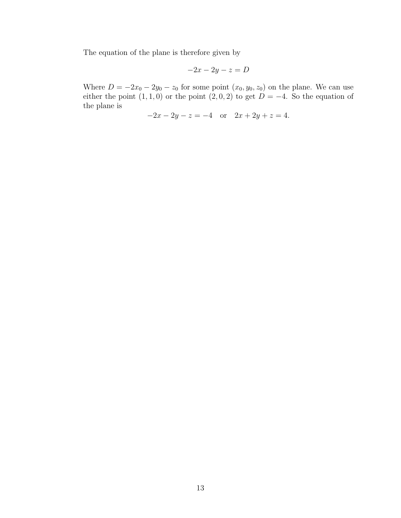The equation of the plane is therefore given by

$$
-2x - 2y - z = D
$$

Where  $D = -2x_0 - 2y_0 - z_0$  for some point  $(x_0, y_0, z_0)$  on the plane. We can use either the point  $(1, 1, 0)$  or the point  $(2, 0, 2)$  to get  $D = -4$ . So the equation of the plane is

$$
-2x - 2y - z = -4 \quad \text{or} \quad 2x + 2y + z = 4.
$$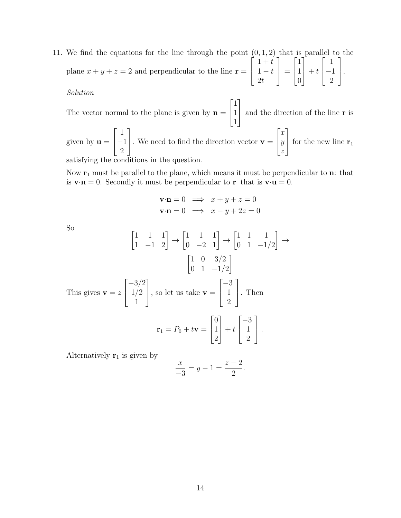11. We find the equations for the line through the point  $(0, 1, 2)$  that is parallel to the plane  $x + y + z = 2$  and perpendicular to the line  $\mathbf{r} =$  $\sqrt{ }$  $\overline{1}$  $1 + t$  $1 - t$  $2<sub>t</sub>$ 1  $\Big| =$  $\sqrt{ }$  $\overline{1}$ 1 1 0 1  $+ t$  $\sqrt{ }$  $\overline{1}$ 1 −1 2 1  $\vert \cdot$ 

### Solution

The vector normal to the plane is given by  $\mathbf{n} =$  $\sqrt{ }$  $\overline{\phantom{a}}$ 1 1 1 1 and the direction of the line <sup>r</sup> is given by  $\mathbf{u} =$  $\sqrt{ }$  $\overline{1}$ 1 −1 2 1 . We need to find the direction vector  $\mathbf{v} =$  $\sqrt{ }$  $\overline{1}$  $\overline{x}$  $\hat{y}$ z 1 for the new line  $r_1$ 

satisfying the conditions in the question.

Now  $r_1$  must be parallel to the plane, which means it must be perpendicular to n: that is  $\mathbf{v} \cdot \mathbf{n} = 0$ . Secondly it must be perpendicular to r that is  $\mathbf{v} \cdot \mathbf{u} = 0$ .

$$
\mathbf{v} \cdot \mathbf{n} = 0 \implies x + y + z = 0
$$
  

$$
\mathbf{v} \cdot \mathbf{n} = 0 \implies x - y + 2z = 0
$$

So

$$
\begin{bmatrix} 1 & 1 & 1 \ 1 & -1 & 2 \end{bmatrix} \rightarrow \begin{bmatrix} 1 & 1 & 1 \ 0 & -2 & 1 \end{bmatrix} \rightarrow \begin{bmatrix} 1 & 1 & 1 \ 0 & 1 & -1/2 \end{bmatrix} \rightarrow
$$

$$
\begin{bmatrix} 1 & 0 & 3/2 \ 0 & 1 & -1/2 \end{bmatrix}
$$
This gives  $\mathbf{v} = z \begin{bmatrix} -3/2 \ 1/2 \ 1 \end{bmatrix}$ , so let us take  $\mathbf{v} = \begin{bmatrix} -3 \ 1 \ 2 \end{bmatrix}$ . Then
$$
\mathbf{r}_1 = P_0 + t\mathbf{v} = \begin{bmatrix} 0 \ 1 \ 2 \end{bmatrix} + t \begin{bmatrix} -3 \ 1 \ 2 \end{bmatrix}.
$$

Alternatively  $r_1$  is given by

$$
\frac{x}{-3} = y - 1 = \frac{z - 2}{2}.
$$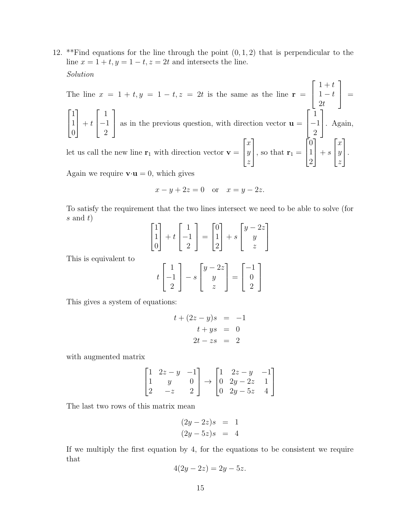12. \*\*Find equations for the line through the point  $(0, 1, 2)$  that is perpendicular to the line  $x = 1 + t$ ,  $y = 1 - t$ ,  $z = 2t$  and intersects the line. Solution

The line  $x = 1 + t, y = 1 - t, z = 2t$  is the same as the line  $r =$  $\sqrt{ }$  $\vert$  $1 + t$  $1 - t$  $2<sub>t</sub>$ 1  $\Big\} =$  $\sqrt{ }$  $\overline{1}$ 1 1 0 1  $+ t$  $\sqrt{ }$  $\vert$ 1 −1 2 1 as in the previous question, with direction vector  $\mathbf{u} =$  $\sqrt{ }$  $\vert$ 1 −1 2 1 . Again, let us call the new line  $r_1$  with direction vector  $v =$  $\sqrt{ }$  $\overline{1}$  $\overline{x}$  $\hat{y}$ z 1 , so that  $\mathbf{r}_1 =$  $\sqrt{ }$  $\overline{1}$ 0 1 2 1  $+ s$  $\sqrt{ }$  $\overline{1}$ x  $\hat{y}$ z 1  $\vert \cdot$ 

Again we require  $\mathbf{v} \cdot \mathbf{u} = 0$ , which gives

$$
x - y + 2z = 0 \quad \text{or} \quad x = y - 2z.
$$

To satisfy the requirement that the two lines intersect we need to be able to solve (for  $s$  and  $t$ )

$$
\begin{bmatrix} 1 \\ 1 \\ 0 \end{bmatrix} + t \begin{bmatrix} 1 \\ -1 \\ 2 \end{bmatrix} = \begin{bmatrix} 0 \\ 1 \\ 2 \end{bmatrix} + s \begin{bmatrix} y - 2z \\ y \\ z \end{bmatrix}
$$

This is equivalent to

$$
t\begin{bmatrix}1\\-1\\2\end{bmatrix} - s\begin{bmatrix}y-2z\\y\\z\end{bmatrix} = \begin{bmatrix}-1\\0\\2\end{bmatrix}
$$

This gives a system of equations:

$$
t + (2z - y)s = -1
$$
  

$$
t + ys = 0
$$
  

$$
2t - zs = 2
$$

with augmented matrix

$$
\begin{bmatrix} 1 & 2z - y & -1 \\ 1 & y & 0 \\ 2 & -z & 2 \end{bmatrix} \rightarrow \begin{bmatrix} 1 & 2z - y & -1 \\ 0 & 2y - 2z & 1 \\ 0 & 2y - 5z & 4 \end{bmatrix}
$$

The last two rows of this matrix mean

$$
(2y - 2z)s = 1
$$
  

$$
(2y - 5z)s = 4
$$

If we multiply the first equation by 4, for the equations to be consistent we require that

$$
4(2y - 2z) = 2y - 5z.
$$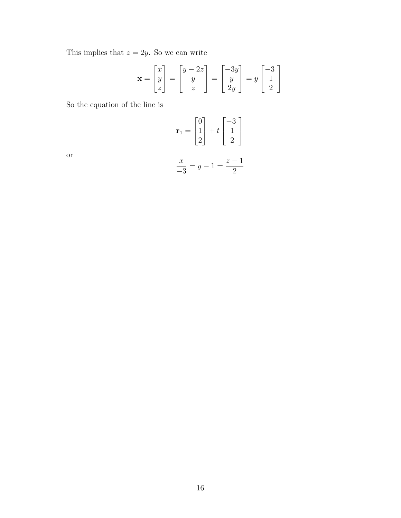This implies that  $z = 2y$ . So we can write

$$
\mathbf{x} = \begin{bmatrix} x \\ y \\ z \end{bmatrix} = \begin{bmatrix} y - 2z \\ y \\ z \end{bmatrix} = \begin{bmatrix} -3y \\ y \\ 2y \end{bmatrix} = y \begin{bmatrix} -3 \\ 1 \\ 2 \end{bmatrix}
$$

So the equation of the line is

$$
\mathbf{r}_1 = \begin{bmatrix} 0 \\ 1 \\ 2 \end{bmatrix} + t \begin{bmatrix} -3 \\ 1 \\ 2 \end{bmatrix}
$$

$$
\frac{x}{-3} = y - 1 = \frac{z - 1}{2}
$$

or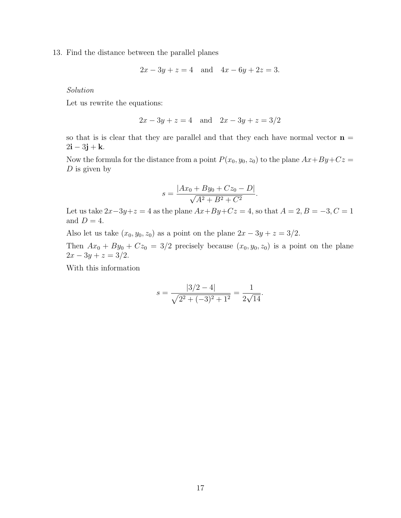13. Find the distance between the parallel planes

$$
2x - 3y + z = 4
$$
 and  $4x - 6y + 2z = 3$ .

Solution

Let us rewrite the equations:

$$
2x - 3y + z = 4
$$
 and  $2x - 3y + z = 3/2$ 

so that is is clear that they are parallel and that they each have normal vector  $\mathbf{n} =$  $2i - 3j + k$ .

Now the formula for the distance from a point  $P(x_0, y_0, z_0)$  to the plane  $Ax + By + Cz =$  $D$  is given by

$$
s = \frac{|Ax_0 + By_0 + Cz_0 - D|}{\sqrt{A^2 + B^2 + C^2}}.
$$

Let us take  $2x-3y+z=4$  as the plane  $Ax+By+Cz=4$ , so that  $A=2, B=-3, C=1$ and  $D = 4$ .

Also let us take  $(x_0, y_0, z_0)$  as a point on the plane  $2x - 3y + z = 3/2$ .

Then  $Ax_0 + By_0 + Cz_0 = 3/2$  precisely because  $(x_0, y_0, z_0)$  is a point on the plane  $2x - 3y + z = 3/2.$ 

With this information

$$
s = \frac{|3/2 - 4|}{\sqrt{2^2 + (-3)^2 + 1^2}} = \frac{1}{2\sqrt{14}}.
$$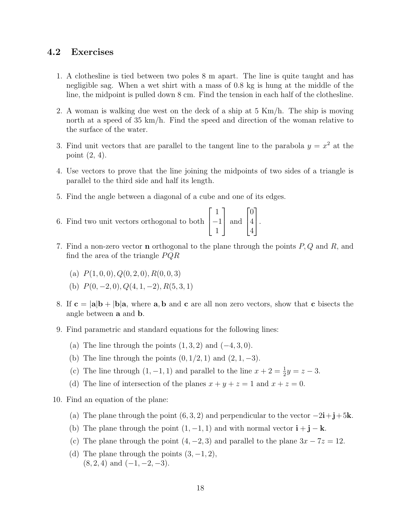# 4.2 Exercises

- 1. A clothesline is tied between two poles 8 m apart. The line is quite taught and has negligible sag. When a wet shirt with a mass of 0.8 kg is hung at the middle of the line, the midpoint is pulled down 8 cm. Find the tension in each half of the clothesline.
- 2. A woman is walking due west on the deck of a ship at 5 Km/h. The ship is moving north at a speed of 35 km/h. Find the speed and direction of the woman relative to the surface of the water.
- 3. Find unit vectors that are parallel to the tangent line to the parabola  $y = x^2$  at the point (2, 4).
- 4. Use vectors to prove that the line joining the midpoints of two sides of a triangle is parallel to the third side and half its length.
- 5. Find the angle between a diagonal of a cube and one of its edges.
- 6. Find two unit vectors orthogonal to both  $\lceil$  $\overline{\phantom{a}}$ 1 −1 1 1 and  $\lceil$  $\overline{\phantom{a}}$ 0 4 4 1  $\vert \cdot$
- 7. Find a non-zero vector **n** orthogonal to the plane through the points  $P, Q$  and  $R$ , and find the area of the triangle  $PQR$ 
	- (a)  $P(1, 0, 0), Q(0, 2, 0), R(0, 0, 3)$
	- (b)  $P(0, -2, 0), Q(4, 1, -2), R(5, 3, 1)$
- 8. If  $c = |a|b + |b|a$ , where a, b and c are all non zero vectors, show that c bisects the angle between a and b.
- 9. Find parametric and standard equations for the following lines:
	- (a) The line through the points  $(1, 3, 2)$  and  $(-4, 3, 0)$ .
	- (b) The line through the points  $(0, 1/2, 1)$  and  $(2, 1, -3)$ .
	- (c) The line through  $(1, -1, 1)$  and parallel to the line  $x + 2 = \frac{1}{2}y = z 3$ .
	- (d) The line of intersection of the planes  $x + y + z = 1$  and  $x + z = 0$ .
- 10. Find an equation of the plane:
	- (a) The plane through the point  $(6, 3, 2)$  and perpendicular to the vector  $-2\mathbf{i}+\mathbf{j}+5\mathbf{k}$ .
	- (b) The plane through the point  $(1, -1, 1)$  and with normal vector  $\mathbf{i} + \mathbf{j} \mathbf{k}$ .
	- (c) The plane through the point  $(4, -2, 3)$  and parallel to the plane  $3x 7z = 12$ .
	- (d) The plane through the points  $(3, -1, 2)$ ,  $(8, 2, 4)$  and  $(-1, -2, -3)$ .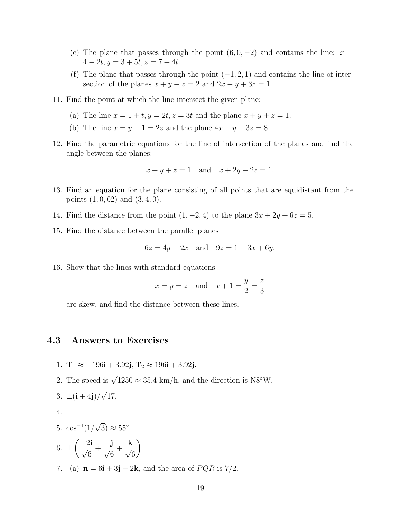- (e) The plane that passes through the point  $(6, 0, -2)$  and contains the line:  $x =$  $4-2t, y=3+5t, z=7+4t.$
- (f) The plane that passes through the point  $(-1, 2, 1)$  and contains the line of intersection of the planes  $x + y - z = 2$  and  $2x - y + 3z = 1$ .
- 11. Find the point at which the line intersect the given plane:
	- (a) The line  $x = 1 + t$ ,  $y = 2t$ ,  $z = 3t$  and the plane  $x + y + z = 1$ .
	- (b) The line  $x = y 1 = 2z$  and the plane  $4x y + 3z = 8$ .
- 12. Find the parametric equations for the line of intersection of the planes and find the angle between the planes:

$$
x + y + z = 1
$$
 and  $x + 2y + 2z = 1$ .

- 13. Find an equation for the plane consisting of all points that are equidistant from the points  $(1, 0, 02)$  and  $(3, 4, 0)$ .
- 14. Find the distance from the point  $(1, -2, 4)$  to the plane  $3x + 2y + 6z = 5$ .
- 15. Find the distance between the parallel planes

$$
6z = 4y - 2x
$$
 and  $9z = 1 - 3x + 6y$ .

16. Show that the lines with standard equations

 $x = y = z$  and  $x + 1 =$  $\hat{y}$ 2 = z 3

are skew, and find the distance between these lines.

### 4.3 Answers to Exercises

- 1.  $T_1 \approx -196i + 3.92j$ ,  $T_2 \approx 196i + 3.92j$ .
- 2. The speed is  $\sqrt{1250} \approx 35.4 \text{ km/h}$ , and the direction is N8°W.

$$
3. \ \pm \left(\mathbf{i} + 4\mathbf{j}\right) / \sqrt{17}.
$$

4.

5. 
$$
\cos^{-1}(1/\sqrt{3}) \approx 55^{\circ}
$$
.

$$
6. \pm \left(\frac{-2\mathbf{i}}{\sqrt{6}} + \frac{-\mathbf{j}}{\sqrt{6}} + \frac{\mathbf{k}}{\sqrt{6}}\right)
$$

7. (a)  $\mathbf{n} = 6\mathbf{i} + 3\mathbf{j} + 2\mathbf{k}$ , and the area of  $PQR$  is 7/2.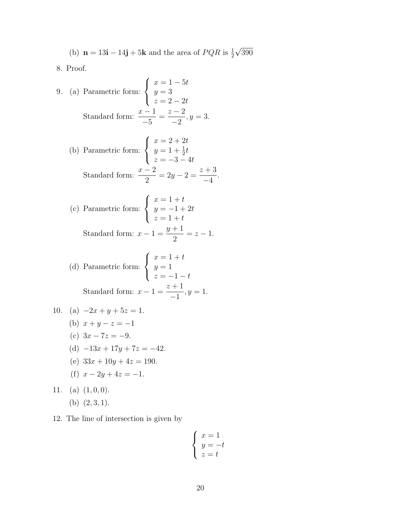(b)  $\mathbf{n} = 13\mathbf{i} - 14\mathbf{j} + 5\mathbf{k}$  and the area of  $PQR$  is  $\frac{1}{2}$ √ 390

8. Proof.

9. (a) Parametric form: 
$$
\begin{cases} x = 1 - 5t \\ y = 3 \\ z = 2 - 2t \end{cases}
$$
Standard form: 
$$
\frac{x - 1}{-5} = \frac{z - 2}{-2}, y = 3.
$$

(b) Parametric form: 
$$
\begin{cases} x = 2 + 2t \\ y = 1 + \frac{1}{2}t \\ z = -3 - 4t \end{cases}
$$
  
Standard form: 
$$
\frac{x - 2}{2} = 2y - 2 = \frac{z + 3}{-4}.
$$

(c) Parametric form: 
$$
\begin{cases} x = 1 + t \\ y = -1 + 2t \\ z = 1 + t \end{cases}
$$
  
Standard form:  $x - 1 = \frac{y + 1}{2} = z - 1$ .

(d) Parametric form: 
$$
\begin{cases} x = 1 + t \\ y = 1 \\ z = -1 - t \end{cases}
$$
  
Standard form:  $x - 1 = \frac{z + 1}{-1}, y = 1$ .

10. (a) 
$$
-2x + y + 5z = 1
$$
.  
\n(b)  $x + y - z = -1$   
\n(c)  $3x - 7z = -9$ .  
\n(d)  $-13x + 17y + 7z = -42$ .  
\n(e)  $33x + 10y + 4z = 190$ .  
\n(f)  $x - 2y + 4z = -1$ .

11. (a) 
$$
(1,0,0)
$$
.  
(b)  $(2,3,1)$ .

12. The line of intersection is given by

$$
\begin{cases}\nx = 1 \\
y = -t \\
z = t\n\end{cases}
$$